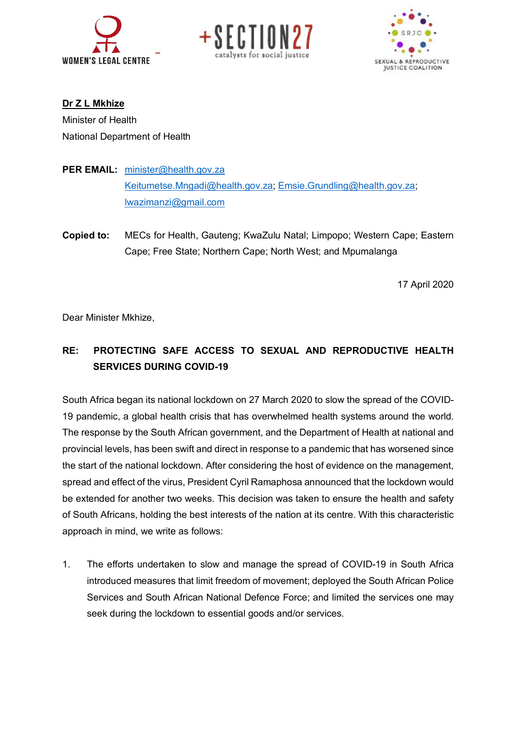





**Dr Z L Mkhize** Minister of Health National Department of Health

- PER EMAIL: minister@health.gov.za Keitumetse.Mngadi@health.gov.za; Emsie.Grundling@health.gov.za; lwazimanzi@gmail.com
- **Copied to:** MECs for Health, Gauteng; KwaZulu Natal; Limpopo; Western Cape; Eastern Cape; Free State; Northern Cape; North West; and Mpumalanga

17 April 2020

Dear Minister Mkhize,

## **RE: PROTECTING SAFE ACCESS TO SEXUAL AND REPRODUCTIVE HEALTH SERVICES DURING COVID-19**

South Africa began its national lockdown on 27 March 2020 to slow the spread of the COVID-19 pandemic, a global health crisis that has overwhelmed health systems around the world. The response by the South African government, and the Department of Health at national and provincial levels, has been swift and direct in response to a pandemic that has worsened since the start of the national lockdown. After considering the host of evidence on the management, spread and effect of the virus, President Cyril Ramaphosa announced that the lockdown would be extended for another two weeks. This decision was taken to ensure the health and safety of South Africans, holding the best interests of the nation at its centre. With this characteristic approach in mind, we write as follows:

1. The efforts undertaken to slow and manage the spread of COVID-19 in South Africa introduced measures that limit freedom of movement; deployed the South African Police Services and South African National Defence Force; and limited the services one may seek during the lockdown to essential goods and/or services.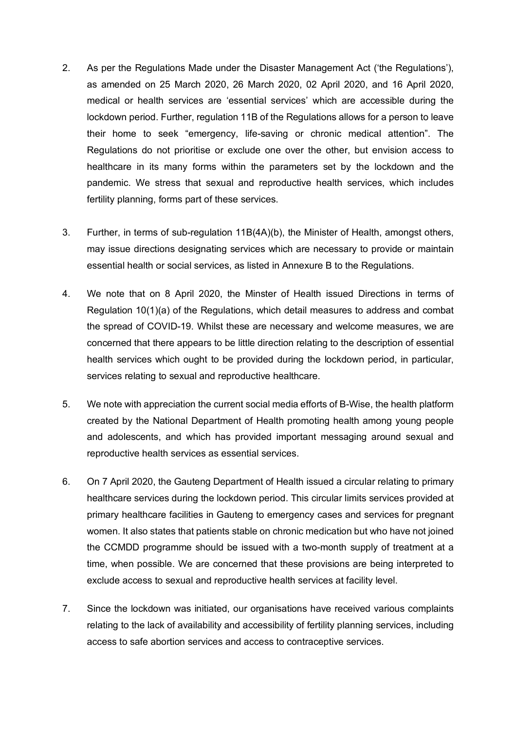- 2. As per the Regulations Made under the Disaster Management Act ('the Regulations'), as amended on 25 March 2020, 26 March 2020, 02 April 2020, and 16 April 2020, medical or health services are 'essential services' which are accessible during the lockdown period. Further, regulation 11B of the Regulations allows for a person to leave their home to seek "emergency, life-saving or chronic medical attention". The Regulations do not prioritise or exclude one over the other, but envision access to healthcare in its many forms within the parameters set by the lockdown and the pandemic. We stress that sexual and reproductive health services, which includes fertility planning, forms part of these services.
- 3. Further, in terms of sub-regulation 11B(4A)(b), the Minister of Health, amongst others, may issue directions designating services which are necessary to provide or maintain essential health or social services, as listed in Annexure B to the Regulations.
- 4. We note that on 8 April 2020, the Minster of Health issued Directions in terms of Regulation 10(1)(a) of the Regulations, which detail measures to address and combat the spread of COVID-19. Whilst these are necessary and welcome measures, we are concerned that there appears to be little direction relating to the description of essential health services which ought to be provided during the lockdown period, in particular, services relating to sexual and reproductive healthcare.
- 5. We note with appreciation the current social media efforts of B-Wise, the health platform created by the National Department of Health promoting health among young people and adolescents, and which has provided important messaging around sexual and reproductive health services as essential services.
- 6. On 7 April 2020, the Gauteng Department of Health issued a circular relating to primary healthcare services during the lockdown period. This circular limits services provided at primary healthcare facilities in Gauteng to emergency cases and services for pregnant women. It also states that patients stable on chronic medication but who have not joined the CCMDD programme should be issued with a two-month supply of treatment at a time, when possible. We are concerned that these provisions are being interpreted to exclude access to sexual and reproductive health services at facility level.
- 7. Since the lockdown was initiated, our organisations have received various complaints relating to the lack of availability and accessibility of fertility planning services, including access to safe abortion services and access to contraceptive services.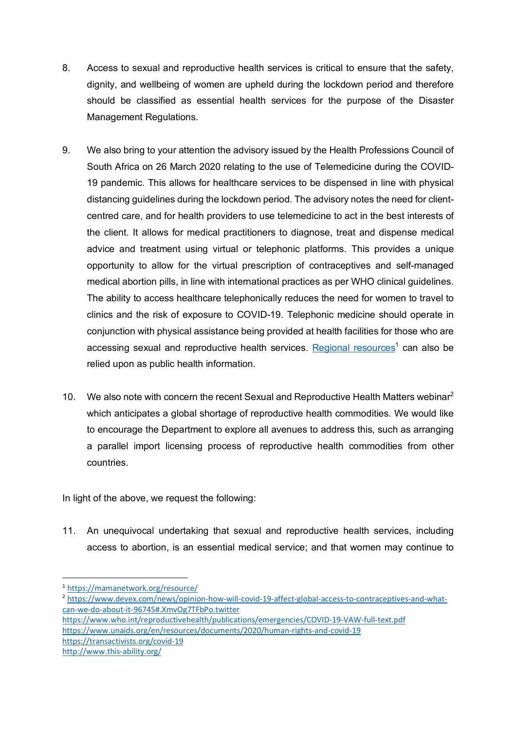- 8. Access to sexual and reproductive health services is critical to ensure that the safety, dignity, and wellbeing of women are upheld during the lockdown period and therefore should be classified as essential health services for the purpose of the Disaster Management Regulations.
- 9. We also bring to your attention the advisory issued by the Health Professions Council of South Africa on 26 March 2020 relating to the use of Telemedicine during the COVID-19 pandemic. This allows for healthcare services to be dispensed in line with physical distancing guidelines during the lockdown period. The advisory notes the need for clientcentred care, and for health providers to use telemedicine to act in the best interests of the client. It allows for medical practitioners to diagnose, treat and dispense medical advice and treatment using virtual or telephonic platforms. This provides a unique opportunity to allow for the virtual prescription of contraceptives and self-managed medical abortion pills, in line with international practices as per WHO clinical guidelines. The ability to access healthcare telephonically reduces the need for women to travel to clinics and the risk of exposure to COVID-19. Telephonic medicine should operate in conjunction with physical assistance being provided at health facilities for those who are accessing sexual and reproductive health services. Regional resources<sup>1</sup> can also be relied upon as public health information.
- 10. We also note with concern the recent Sexual and Reproductive Health Matters webinar<sup>2</sup> which anticipates a global shortage of reproductive health commodities. We would like to encourage the Department to explore all avenues to address this, such as arranging a parallel import licensing process of reproductive health commodities from other countries.

In light of the above, we request the following:

11. An unequivocal undertaking that sexual and reproductive health services, including access to abortion, is an essential medical service; and that women may continue to

https://www.who.int/reproductivehealth/publications/emergencies/COVID-19-VAW-full-text.pdf https://www.unaids.org/en/resources/documents/2020/human-rights-and-covid-19 https://transactivists.org/covid-19

http://www.this-ability.org/

 <sup>1</sup> https://mamanetwork.org/resource/

<sup>2</sup> https://www.devex.com/news/opinion-how-will-covid-19-affect-global-access-to-contraceptives-and-whatcan-we-do-about-it-96745#.XmvOg7TFbPo.twitter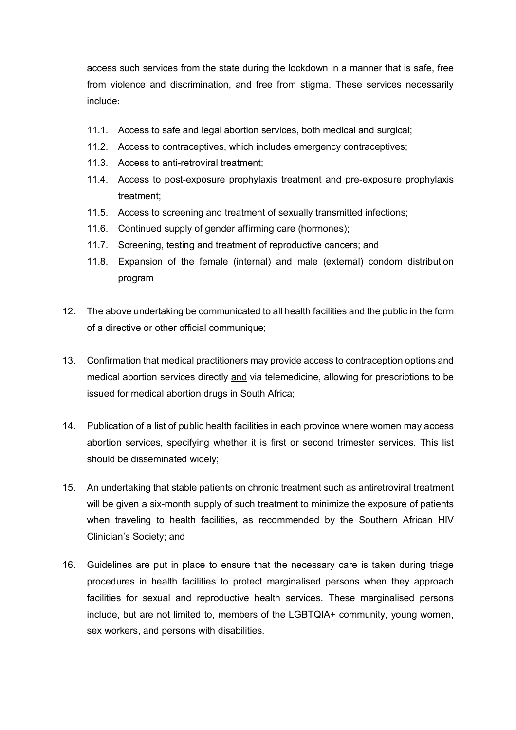access such services from the state during the lockdown in a manner that is safe, free from violence and discrimination, and free from stigma. These services necessarily include:

- 11.1. Access to safe and legal abortion services, both medical and surgical;
- 11.2. Access to contraceptives, which includes emergency contraceptives;
- 11.3. Access to anti-retroviral treatment;
- 11.4. Access to post-exposure prophylaxis treatment and pre-exposure prophylaxis treatment;
- 11.5. Access to screening and treatment of sexually transmitted infections;
- 11.6. Continued supply of gender affirming care (hormones);
- 11.7. Screening, testing and treatment of reproductive cancers; and
- 11.8. Expansion of the female (internal) and male (external) condom distribution program
- 12. The above undertaking be communicated to all health facilities and the public in the form of a directive or other official communique;
- 13. Confirmation that medical practitioners may provide access to contraception options and medical abortion services directly and via telemedicine, allowing for prescriptions to be issued for medical abortion drugs in South Africa;
- 14. Publication of a list of public health facilities in each province where women may access abortion services, specifying whether it is first or second trimester services. This list should be disseminated widely;
- 15. An undertaking that stable patients on chronic treatment such as antiretroviral treatment will be given a six-month supply of such treatment to minimize the exposure of patients when traveling to health facilities, as recommended by the Southern African HIV Clinician's Society; and
- 16. Guidelines are put in place to ensure that the necessary care is taken during triage procedures in health facilities to protect marginalised persons when they approach facilities for sexual and reproductive health services. These marginalised persons include, but are not limited to, members of the LGBTQIA+ community, young women, sex workers, and persons with disabilities.